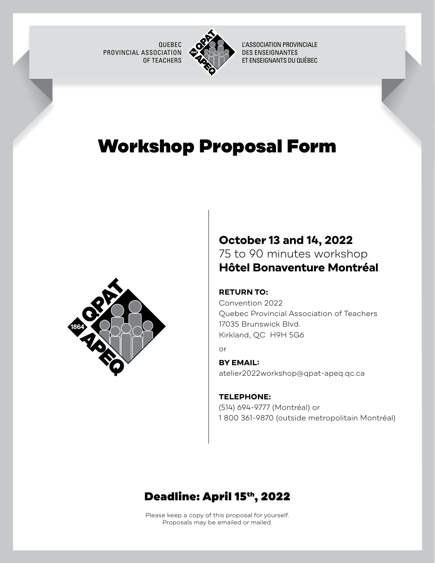QUEBEC PROVINCIAL ASSOCIATION OF TEACHERS



L'ASSOCIATION PROVINCIALE DES ENSEIGNANTES ET ENSEIGNANTS DU QUÉBEC

# Workshop Proposal Form



### **October 13 and 14, 2022** 75 to 90 minutes workshop **Hôtel Bonaventure Montréal**

### **RETURN TO:**

Convention 2022 Quebec Provincial Association of Teachers 17035 Brunswick Blvd. Kirkland, QC H9H 5G6

or

### **BY EMAIL:** [atelier2022workshop@qpat-apeq.qc.ca](mailto:atelier2022workshop%40qpat-apeq.qc.ca?subject=)

**TELEPHONE:** (514) 694-9777 (Montréal) or

1 800 361-9870 (outside metropolitain Montréal)

### Deadline: April 15th, 2022

Please keep a copy of this proposal for yourself. Proposals may be emailed or mailed.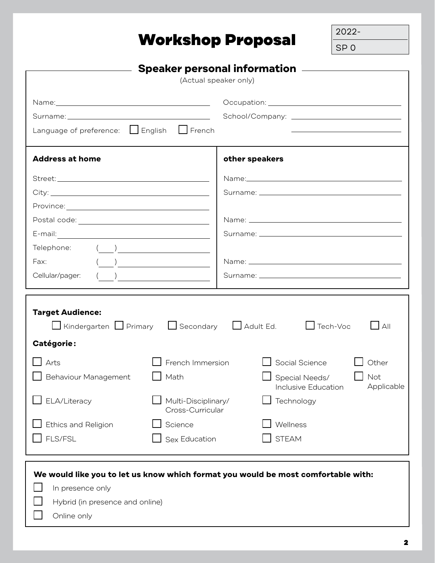# Workshop Proposal

2022- SP 0

| Speaker personal information __________                                                                                                   |                                                                     |                |                                                                                                                                |  |  |
|-------------------------------------------------------------------------------------------------------------------------------------------|---------------------------------------------------------------------|----------------|--------------------------------------------------------------------------------------------------------------------------------|--|--|
| (Actual speaker only)                                                                                                                     |                                                                     |                |                                                                                                                                |  |  |
|                                                                                                                                           |                                                                     |                |                                                                                                                                |  |  |
|                                                                                                                                           |                                                                     |                |                                                                                                                                |  |  |
|                                                                                                                                           |                                                                     |                |                                                                                                                                |  |  |
| Language of preference: □ English □ French                                                                                                |                                                                     |                |                                                                                                                                |  |  |
| <b>Address at home</b>                                                                                                                    |                                                                     | other speakers |                                                                                                                                |  |  |
|                                                                                                                                           |                                                                     |                |                                                                                                                                |  |  |
|                                                                                                                                           |                                                                     |                |                                                                                                                                |  |  |
|                                                                                                                                           |                                                                     |                |                                                                                                                                |  |  |
|                                                                                                                                           |                                                                     |                |                                                                                                                                |  |  |
|                                                                                                                                           |                                                                     |                |                                                                                                                                |  |  |
| Telephone: ( ) <u>________________</u>                                                                                                    |                                                                     |                |                                                                                                                                |  |  |
| Fax:                                                                                                                                      |                                                                     |                |                                                                                                                                |  |  |
| Cellular/pager:                                                                                                                           | $\begin{pmatrix} 1 & 1 \\ 1 & 1 \end{pmatrix}$                      |                |                                                                                                                                |  |  |
|                                                                                                                                           |                                                                     |                |                                                                                                                                |  |  |
| <b>Target Audience:</b><br>□ Kindergarten □ Primary □ Secondary □ Adult Ed.<br>Catégorie:<br>Arts<br>Behaviour Management<br>ELA/Literacy | French Immersion<br>Math<br>Multi-Disciplinary/<br>Cross-Curricular |                | $\Box$ Tech-Voc<br> A  <br>Social Science<br>Other<br>Not<br>Special Needs/<br>Applicable<br>Inclusive Education<br>Technology |  |  |
| Ethics and Religion<br>FLS/FSL                                                                                                            | Science<br>Sex Education                                            |                | Wellness<br><b>STEAM</b>                                                                                                       |  |  |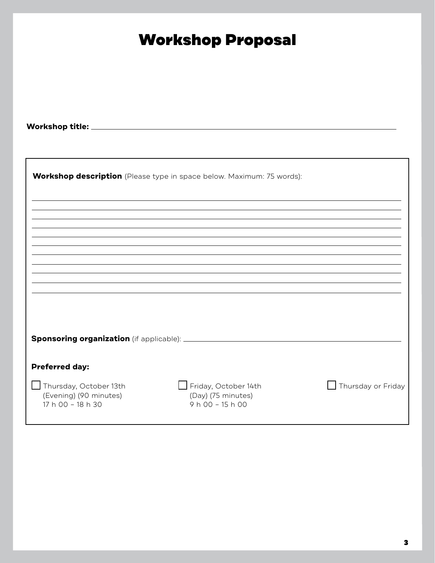| <b>Workshop Proposal</b><br><b>Workshop description</b> (Please type in space below. Maximum: 75 words): |
|----------------------------------------------------------------------------------------------------------|
|                                                                                                          |
|                                                                                                          |
|                                                                                                          |
|                                                                                                          |
|                                                                                                          |
|                                                                                                          |
|                                                                                                          |
|                                                                                                          |
|                                                                                                          |
|                                                                                                          |
|                                                                                                          |
|                                                                                                          |
| Friday, October 14th<br>Thursday or Friday                                                               |
|                                                                                                          |
|                                                                                                          |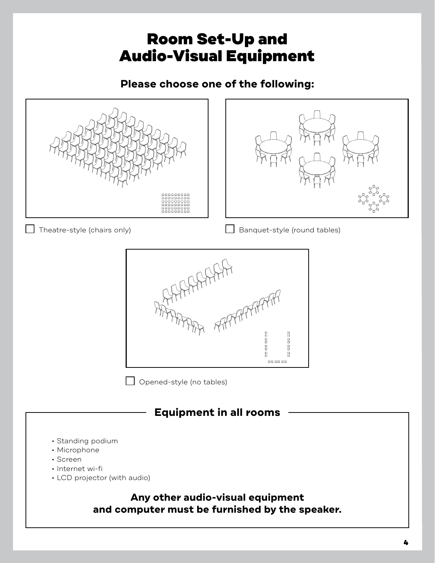# Room Set-Up and Audio-Visual Equipment

### **Please choose one of the following:**

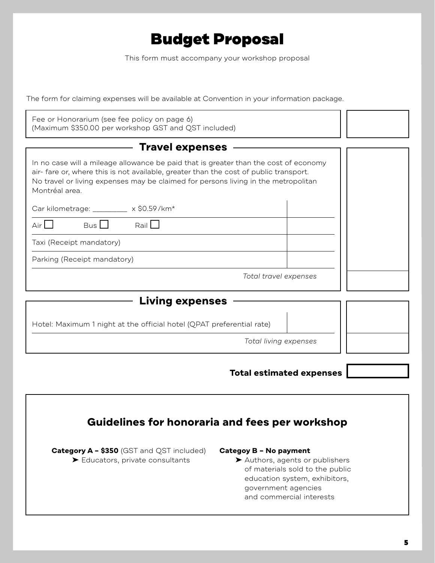## Budget Proposal

This form must accompany your workshop proposal

The form for claiming expenses will be available at Convention in your information package.

| Fee or Honorarium (see fee policy on page 6)<br>(Maximum \$350.00 per workshop GST and QST included)                                                                                                                                                                                 |  |
|--------------------------------------------------------------------------------------------------------------------------------------------------------------------------------------------------------------------------------------------------------------------------------------|--|
| <b>Travel expenses</b>                                                                                                                                                                                                                                                               |  |
| In no case will a mileage allowance be paid that is greater than the cost of economy<br>air-fare or, where this is not available, greater than the cost of public transport.<br>No travel or living expenses may be claimed for persons living in the metropolitan<br>Montréal area. |  |
| Car kilometrage: _________ x \$0.59/km*                                                                                                                                                                                                                                              |  |
| Bus II<br>Rail L<br>Airl                                                                                                                                                                                                                                                             |  |
| Taxi (Receipt mandatory)                                                                                                                                                                                                                                                             |  |
| Parking (Receipt mandatory)                                                                                                                                                                                                                                                          |  |
| Total travel expenses                                                                                                                                                                                                                                                                |  |
| <b>Living expenses</b>                                                                                                                                                                                                                                                               |  |
| Hotel: Maximum 1 night at the official hotel (QPAT preferential rate)                                                                                                                                                                                                                |  |
| Total living expenses                                                                                                                                                                                                                                                                |  |
|                                                                                                                                                                                                                                                                                      |  |
| <b>Total estimated expenses</b>                                                                                                                                                                                                                                                      |  |